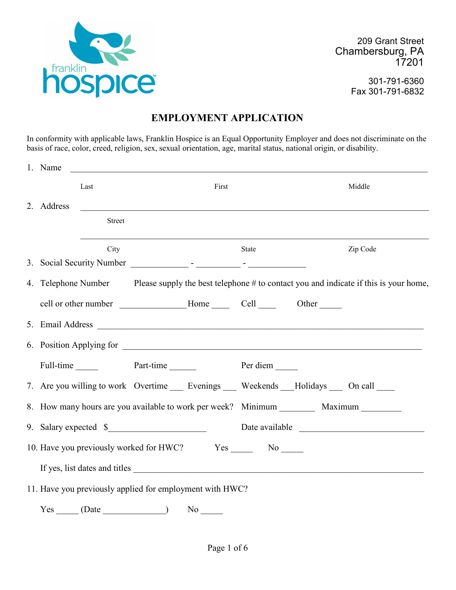

209 Grant Street Chambersburg, PA 17201

> 301-791-6360 Fax 301-791-6832

# **EMPLOYMENT APPLICATION**

In conformity with applicable laws, Franklin Hospice is an Equal Opportunity Employer and does not discriminate on the basis of race, color, creed, religion, sex, sexual orientation, age, marital status, national origin, or disability.

| 1. Name    |               | <u> 1980 - Johann Stein, marwolaethau a bhann an t-Amhair an t-Amhair an t-Amhair an t-Amhair an t-Amhair an t-A</u> |       |  |                                                                                                          |
|------------|---------------|----------------------------------------------------------------------------------------------------------------------|-------|--|----------------------------------------------------------------------------------------------------------|
|            | Last          |                                                                                                                      | First |  | Middle                                                                                                   |
| 2. Address |               | <u> 1989 - Jan Barnett, fransk politiker (d. 1989)</u>                                                               |       |  |                                                                                                          |
|            | <b>Street</b> |                                                                                                                      |       |  |                                                                                                          |
|            | City          |                                                                                                                      | State |  | Zip Code                                                                                                 |
|            |               |                                                                                                                      |       |  |                                                                                                          |
|            |               |                                                                                                                      |       |  | 4. Telephone Number Please supply the best telephone # to contact you and indicate if this is your home, |
|            |               | cell or other number Thome Cell Cell Other                                                                           |       |  |                                                                                                          |
|            |               |                                                                                                                      |       |  |                                                                                                          |
|            |               |                                                                                                                      |       |  |                                                                                                          |
|            |               | Full-time Part-time Part-time Per diem                                                                               |       |  |                                                                                                          |
|            |               | 7. Are you willing to work Overtime ______ Evenings _______ Weekends ____Holidays ______ On call ______              |       |  |                                                                                                          |
|            |               | 8. How many hours are you available to work per week? Minimum _________ Maximum _______                              |       |  |                                                                                                          |
|            |               | 9. Salary expected \$                                                                                                |       |  | Date available                                                                                           |
|            |               |                                                                                                                      |       |  |                                                                                                          |
|            |               | If yes, list dates and titles                                                                                        |       |  |                                                                                                          |
|            |               | 11. Have you previously applied for employment with HWC?                                                             |       |  |                                                                                                          |
| Yes        | (Date         | N <sub>o</sub>                                                                                                       |       |  |                                                                                                          |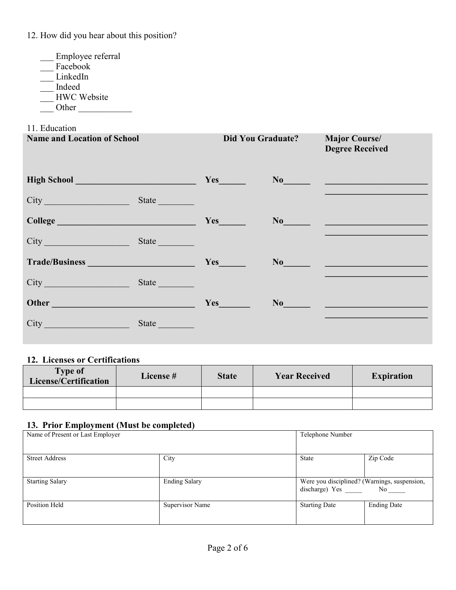12. How did you hear about this position?

- \_\_\_ Employee referral
- Facebook
- \_\_\_ LinkedIn
- \_\_\_ Indeed
- \_\_\_ HWC Website
- $\frac{1}{\sqrt{1-\frac{1}{2}}}\text{Other}$

#### 11. Education

| <b>Name and Location of School</b>   |                                                                           | <b>Did You Graduate?</b>                                                                                                                                                                                                                                                              | <b>Major Course/</b><br><b>Degree Received</b>                                                                                                                                                                                                                                                                                                                                                                  |
|--------------------------------------|---------------------------------------------------------------------------|---------------------------------------------------------------------------------------------------------------------------------------------------------------------------------------------------------------------------------------------------------------------------------------|-----------------------------------------------------------------------------------------------------------------------------------------------------------------------------------------------------------------------------------------------------------------------------------------------------------------------------------------------------------------------------------------------------------------|
| High School <u>Nights and School</u> |                                                                           | $Yes$ and $Yes$ and $Yes$ and $Yes$ and $Yes$ and $Yes$ and $Yes$ and $Yes$ and $Yes$ and $Yes$ and $Yes$ and $Yes$ and $Yes$ and $Yes$ and $Yes$ and $Yes$ and $Yes$ and $Yes$ and $Yes$ and $Yes$ and $Yes$ and $Yes$ and $Yes$ and $Yes$ and $Yes$ and $Yes$ and $Yes$ and $Yes$ a | $N_0$ and $N_1$ and $N_2$ and $N_3$ and $N_4$ and $N_5$ and $N_6$ and $N_7$ and $N_8$ and $N_9$ and $N_9$ and $N_9$ and $N_9$ and $N_9$ and $N_9$ and $N_9$ and $N_9$ and $N_9$ and $N_9$ and $N_9$ and $N_9$ and $N_9$ and                                                                                                                                                                                     |
| City                                 | State                                                                     |                                                                                                                                                                                                                                                                                       |                                                                                                                                                                                                                                                                                                                                                                                                                 |
|                                      |                                                                           | Yes                                                                                                                                                                                                                                                                                   | $No$ and $\overline{\phantom{a}}$ and $\overline{\phantom{a}}$ and $\overline{\phantom{a}}$ and $\overline{\phantom{a}}$ and $\overline{\phantom{a}}$ and $\overline{\phantom{a}}$ and $\overline{\phantom{a}}$ and $\overline{\phantom{a}}$ and $\overline{\phantom{a}}$ and $\overline{\phantom{a}}$ and $\overline{\phantom{a}}$ and $\overline{\phantom{a}}$ and $\overline{\phantom{a}}$ and $\overline{\$ |
| City                                 | State $\frac{1}{\sqrt{1-\frac{1}{2}}\cdot\frac{1}{\sqrt{1-\frac{1}{2}}}}$ |                                                                                                                                                                                                                                                                                       |                                                                                                                                                                                                                                                                                                                                                                                                                 |
| Trade/Business New York 1997         |                                                                           | $Yes$ <sub>__________</sub>                                                                                                                                                                                                                                                           | $\mathbf{No}$                                                                                                                                                                                                                                                                                                                                                                                                   |
| City                                 | State                                                                     |                                                                                                                                                                                                                                                                                       |                                                                                                                                                                                                                                                                                                                                                                                                                 |
| Other                                |                                                                           | $Yes$ and $Yes$ and $Yes$ and $Yes$ and $Yes$ and $Yes$ and $Yes$ and $Yes$ and $Yes$ and $Yes$ and $Yes$ and $Yes$ and $Yes$ and $Yes$ and $Yes$ and $Yes$ and $Yes$ and $Yes$ and $Yes$ and $Yes$ and $Yes$ and $Yes$ and $Yes$ and $Yes$ and $Yes$ and $Yes$ and $Yes$ and $Yes$ a | $No$ and $No$ and $No$ and $No$ and $No$ and $No$ and $No$ and $No$ and $No$ and $No$ and $No$ and $No$ and $No$ and $No$ and $No$ and $No$ and $No$ and $No$ and $No$ and $No$ and $No$ and $No$ and $No$ and $No$ and $No$ and $No$ and $No$ and $No$ a                                                                                                                                                       |
| City                                 |                                                                           |                                                                                                                                                                                                                                                                                       |                                                                                                                                                                                                                                                                                                                                                                                                                 |

### **12. Licenses or Certifications**

| <b>Type of</b><br>License/Certification | License # | <b>State</b> | <b>Year Received</b> | <b>Expiration</b> |
|-----------------------------------------|-----------|--------------|----------------------|-------------------|
|                                         |           |              |                      |                   |
|                                         |           |              |                      |                   |

## **13. Prior Employment (Must be completed)**

| Name of Present or Last Employer | Telephone Number     |                                              |                      |
|----------------------------------|----------------------|----------------------------------------------|----------------------|
|                                  |                      |                                              |                      |
|                                  |                      |                                              |                      |
|                                  |                      |                                              |                      |
|                                  |                      |                                              |                      |
| <b>Street Address</b>            | City                 | <b>State</b>                                 | Zip Code             |
|                                  |                      |                                              |                      |
|                                  |                      |                                              |                      |
|                                  |                      |                                              |                      |
|                                  |                      |                                              |                      |
| <b>Starting Salary</b>           | <b>Ending Salary</b> | Were you disciplined? (Warnings, suspension, |                      |
|                                  |                      | discharge) Yes                               | $No$ <sub>____</sub> |
|                                  |                      |                                              |                      |
|                                  |                      |                                              |                      |
| Position Held                    | Supervisor Name      | <b>Starting Date</b>                         | <b>Ending Date</b>   |
|                                  |                      |                                              |                      |
|                                  |                      |                                              |                      |
|                                  |                      |                                              |                      |
|                                  |                      |                                              |                      |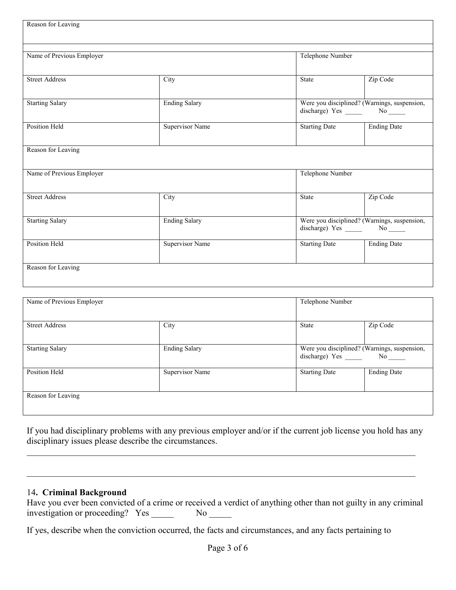| Reason for Leaving        |                        |                      |                                                                                  |  |
|---------------------------|------------------------|----------------------|----------------------------------------------------------------------------------|--|
| Name of Previous Employer |                        | Telephone Number     |                                                                                  |  |
|                           |                        |                      |                                                                                  |  |
| <b>Street Address</b>     | City                   | State                | Zip Code                                                                         |  |
| <b>Starting Salary</b>    | <b>Ending Salary</b>   |                      | Were you disciplined? (Warnings, suspension,<br>discharge) Yes ________ No _____ |  |
| Position Held             | <b>Supervisor Name</b> | <b>Starting Date</b> | <b>Ending Date</b>                                                               |  |
| Reason for Leaving        |                        |                      |                                                                                  |  |
| Name of Previous Employer |                        | Telephone Number     |                                                                                  |  |
| <b>Street Address</b>     | City                   | <b>State</b>         | Zip Code                                                                         |  |
| <b>Starting Salary</b>    | <b>Ending Salary</b>   |                      | Were you disciplined? (Warnings, suspension,<br>discharge) Yes ________ No _____ |  |
| Position Held             | <b>Supervisor Name</b> | <b>Starting Date</b> | <b>Ending Date</b>                                                               |  |
| Reason for Leaving        |                        |                      |                                                                                  |  |

| Name of Previous Employer |                      | Telephone Number                                                                  |                    |
|---------------------------|----------------------|-----------------------------------------------------------------------------------|--------------------|
| <b>Street Address</b>     | City                 | <b>State</b>                                                                      | Zip Code           |
| <b>Starting Salary</b>    | <b>Ending Salary</b> | Were you disciplined? (Warnings, suspension,<br>discharge) Yes ________ No ______ |                    |
| Position Held             | Supervisor Name      | <b>Starting Date</b>                                                              | <b>Ending Date</b> |
| Reason for Leaving        |                      |                                                                                   |                    |

If you had disciplinary problems with any previous employer and/or if the current job license you hold has any disciplinary issues please describe the circumstances.

 $\mathcal{L}_\mathcal{L} = \{ \mathcal{L}_\mathcal{L} = \{ \mathcal{L}_\mathcal{L} = \{ \mathcal{L}_\mathcal{L} = \{ \mathcal{L}_\mathcal{L} = \{ \mathcal{L}_\mathcal{L} = \{ \mathcal{L}_\mathcal{L} = \{ \mathcal{L}_\mathcal{L} = \{ \mathcal{L}_\mathcal{L} = \{ \mathcal{L}_\mathcal{L} = \{ \mathcal{L}_\mathcal{L} = \{ \mathcal{L}_\mathcal{L} = \{ \mathcal{L}_\mathcal{L} = \{ \mathcal{L}_\mathcal{L} = \{ \mathcal{L}_\mathcal{$ 

## 14**. Criminal Background**

| Have you ever been convicted of a crime or received a verdict of anything other than not guilty in any criminal |    |  |  |
|-----------------------------------------------------------------------------------------------------------------|----|--|--|
| investigation or proceeding? Yes                                                                                | Nο |  |  |

If yes, describe when the conviction occurred, the facts and circumstances, and any facts pertaining to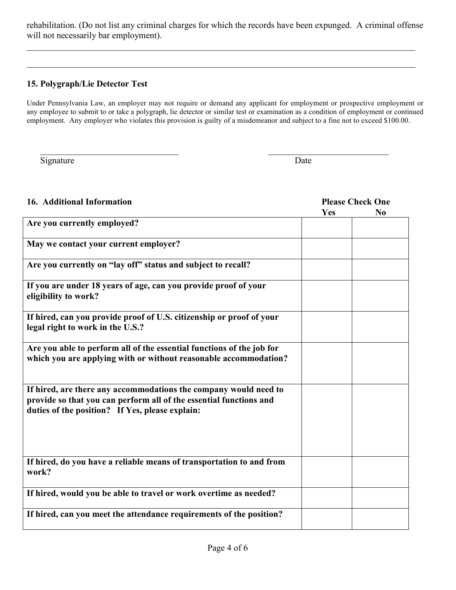rehabilitation. (Do not list any criminal charges for which the records have been expunged. A criminal offense will not necessarily bar employment).

 $\_$  , and the contribution of the contribution of the contribution of the contribution of the contribution of  $\sim$ 

 $\_$  , and the contribution of the contribution of the contribution of the contribution of the contribution of  $\sim$ 

## **15. Polygraph/Lie Detector Test**

Under Pennsylvania Law, an employer may not require or demand any applicant for employment or prospective employment or any employee to submit to or take a polygraph, lie detector or similar test or examination as a condition of employment or continued employment. Any employer who violates this provision is guilty of a misdemeanor and subject to a fine not to exceed \$100.00.

 $\mathcal{L}_\text{max}$  , and the contribution of the contribution of the contribution of the contribution of the contribution of the contribution of the contribution of the contribution of the contribution of the contribution of t

Signature Date

| 16. Additional Information                                                                                                                                                                | <b>Please Check One</b> |                |  |  |
|-------------------------------------------------------------------------------------------------------------------------------------------------------------------------------------------|-------------------------|----------------|--|--|
|                                                                                                                                                                                           | Yes                     | N <sub>0</sub> |  |  |
| Are you currently employed?                                                                                                                                                               |                         |                |  |  |
| May we contact your current employer?                                                                                                                                                     |                         |                |  |  |
| Are you currently on "lay off" status and subject to recall?                                                                                                                              |                         |                |  |  |
| If you are under 18 years of age, can you provide proof of your<br>eligibility to work?                                                                                                   |                         |                |  |  |
| If hired, can you provide proof of U.S. citizenship or proof of your<br>legal right to work in the U.S.?                                                                                  |                         |                |  |  |
| Are you able to perform all of the essential functions of the job for<br>which you are applying with or without reasonable accommodation?                                                 |                         |                |  |  |
| If hired, are there any accommodations the company would need to<br>provide so that you can perform all of the essential functions and<br>duties of the position? If Yes, please explain: |                         |                |  |  |
| If hired, do you have a reliable means of transportation to and from<br>work?                                                                                                             |                         |                |  |  |
| If hired, would you be able to travel or work overtime as needed?                                                                                                                         |                         |                |  |  |
| If hired, can you meet the attendance requirements of the position?                                                                                                                       |                         |                |  |  |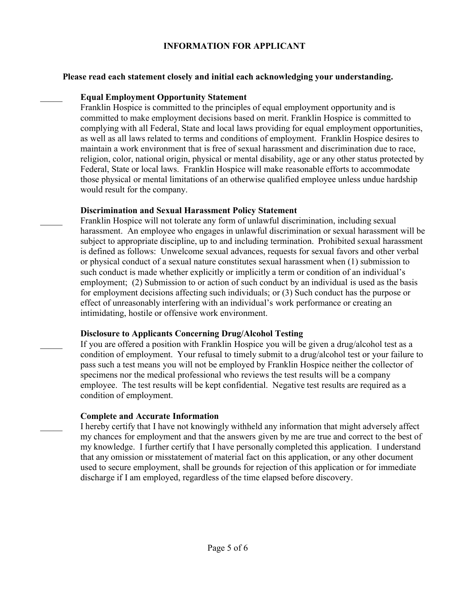#### **INFORMATION FOR APPLICANT**

#### **Please read each statement closely and initial each acknowledging your understanding.**

#### **Equal Employment Opportunity Statement**

 $\frac{1}{2}$ 

 $\frac{1}{2}$ 

 $\frac{1}{2}$ 

 $\frac{1}{2}$ 

Franklin Hospice is committed to the principles of equal employment opportunity and is committed to make employment decisions based on merit. Franklin Hospice is committed to complying with all Federal, State and local laws providing for equal employment opportunities, as well as all laws related to terms and conditions of employment. Franklin Hospice desires to maintain a work environment that is free of sexual harassment and discrimination due to race, religion, color, national origin, physical or mental disability, age or any other status protected by Federal, State or local laws. Franklin Hospice will make reasonable efforts to accommodate those physical or mental limitations of an otherwise qualified employee unless undue hardship would result for the company.

#### **Discrimination and Sexual Harassment Policy Statement**

Franklin Hospice will not tolerate any form of unlawful discrimination, including sexual harassment. An employee who engages in unlawful discrimination or sexual harassment will be subject to appropriate discipline, up to and including termination. Prohibited sexual harassment is defined as follows: Unwelcome sexual advances, requests for sexual favors and other verbal or physical conduct of a sexual nature constitutes sexual harassment when (1) submission to such conduct is made whether explicitly or implicitly a term or condition of an individual's employment; (2) Submission to or action of such conduct by an individual is used as the basis for employment decisions affecting such individuals; or (3) Such conduct has the purpose or effect of unreasonably interfering with an individual's work performance or creating an intimidating, hostile or offensive work environment.

## **Disclosure to Applicants Concerning Drug/Alcohol Testing**

If you are offered a position with Franklin Hospice you will be given a drug/alcohol test as a condition of employment. Your refusal to timely submit to a drug/alcohol test or your failure to pass such a test means you will not be employed by Franklin Hospice neither the collector of specimens nor the medical professional who reviews the test results will be a company employee. The test results will be kept confidential. Negative test results are required as a condition of employment.

## **Complete and Accurate Information**

I hereby certify that I have not knowingly withheld any information that might adversely affect my chances for employment and that the answers given by me are true and correct to the best of my knowledge. I further certify that I have personally completed this application. I understand that any omission or misstatement of material fact on this application, or any other document used to secure employment, shall be grounds for rejection of this application or for immediate discharge if I am employed, regardless of the time elapsed before discovery.